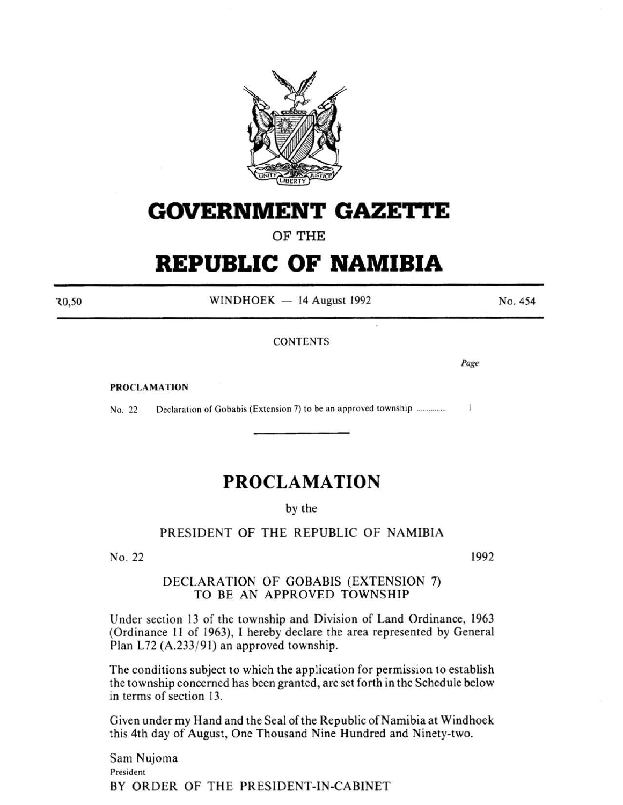

## **GOVERNMENT GAZETTE**

**OF THE** 

# **REPUBLIC OF NAMIBIA**

30,50

 $WINDHOEK - 14$  August 1992

**CONTENTS** 

ò.

PROCLAMATION

No. 22 Declaration of Gobabis (Extension 7) to be an approved township ...............  $\mathbf{1}$ 

### **PROCLAMATION**

by the

### PRESIDENT OF THE REPUBLIC OF NAMIBIA

No. 22

1992

#### DECLARATION OF GOBABIS (EXTENSION 7) TO BE AN APPROVED TOWNSHIP

Under section 13 of the township and Division of Land Ordinance, 1963 (Ordinance II of 1963), I hereby declare the area represented by General Plan L72 (A.233/91) an approved township.

The conditions subject to which the application for permission to establish the township concerned has been granted, are set forth in the Schedule below in terms of section 13.

Given under my Hand and the Seal of the Republic of Namibia at Windhoek this 4th day of August, One Thousand Nine Hundred and Ninety-two.

Sam Nujoma President BY ORDER OF THE PRESIDENT-IN-CABINET No. 454

*Page*